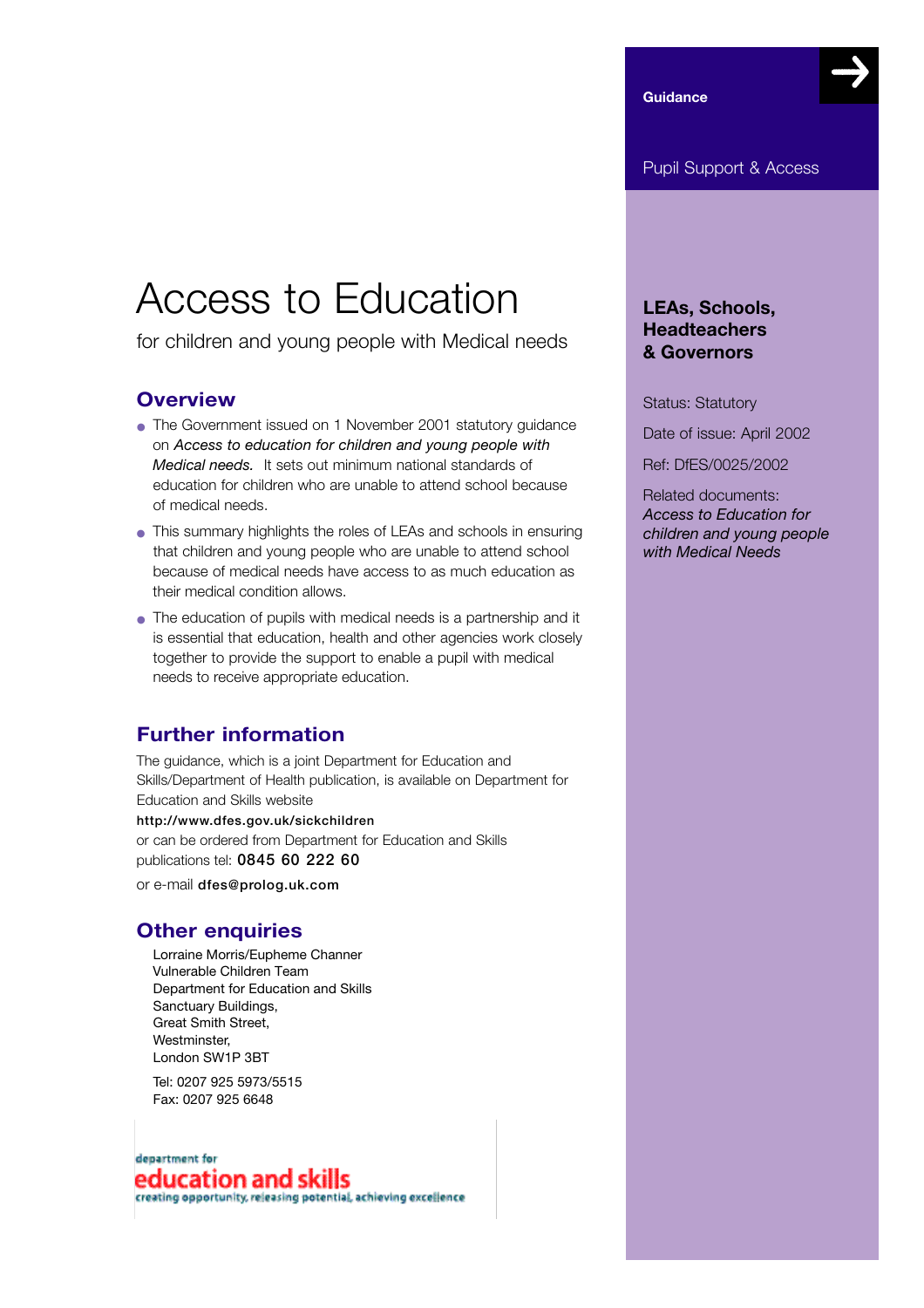**Guidance**

# Access to Education

for children and young people with Medical needs

## **Overview**

- The Government issued on 1 November 2001 statutory guidance on *Access to education for children and young people with Medical needs.* It sets out minimum national standards of education for children who are unable to attend school because of medical needs.
- This summary highlights the roles of LEAs and schools in ensuring that children and young people who are unable to attend school because of medical needs have access to as much education as their medical condition allows.
- The education of pupils with medical needs is a partnership and it is essential that education, health and other agencies work closely together to provide the support to enable a pupil with medical needs to receive appropriate education.

# **Further information**

The guidance, which is a joint Department for Education and Skills/Department of Health publication, is available on Department for Education and Skills website http://www.dfes.gov.uk/sickchildren or can be ordered from Department for Education and Skills

publications tel: 0845 60 222 60

or e-mail dfes@prolog.uk.com

# **Other enquiries**

Lorraine Morris/Eupheme Channer Vulnerable Children Team Department for Education and Skills Sanctuary Buildings, Great Smith Street, Westminster, London SW1P 3BT

Tel: 0207 925 5973/5515 Fax: 0207 925 6648

## department for education and skills

creating opportunity, releasing potential, achieving excellence

## **LEAs, Schools, Headteachers & Governors**

Status: Statutory

Date of issue: April 2002

Ref: DfES/0025/2002

Related documents: *Access to Education for children and young people with Medical Needs*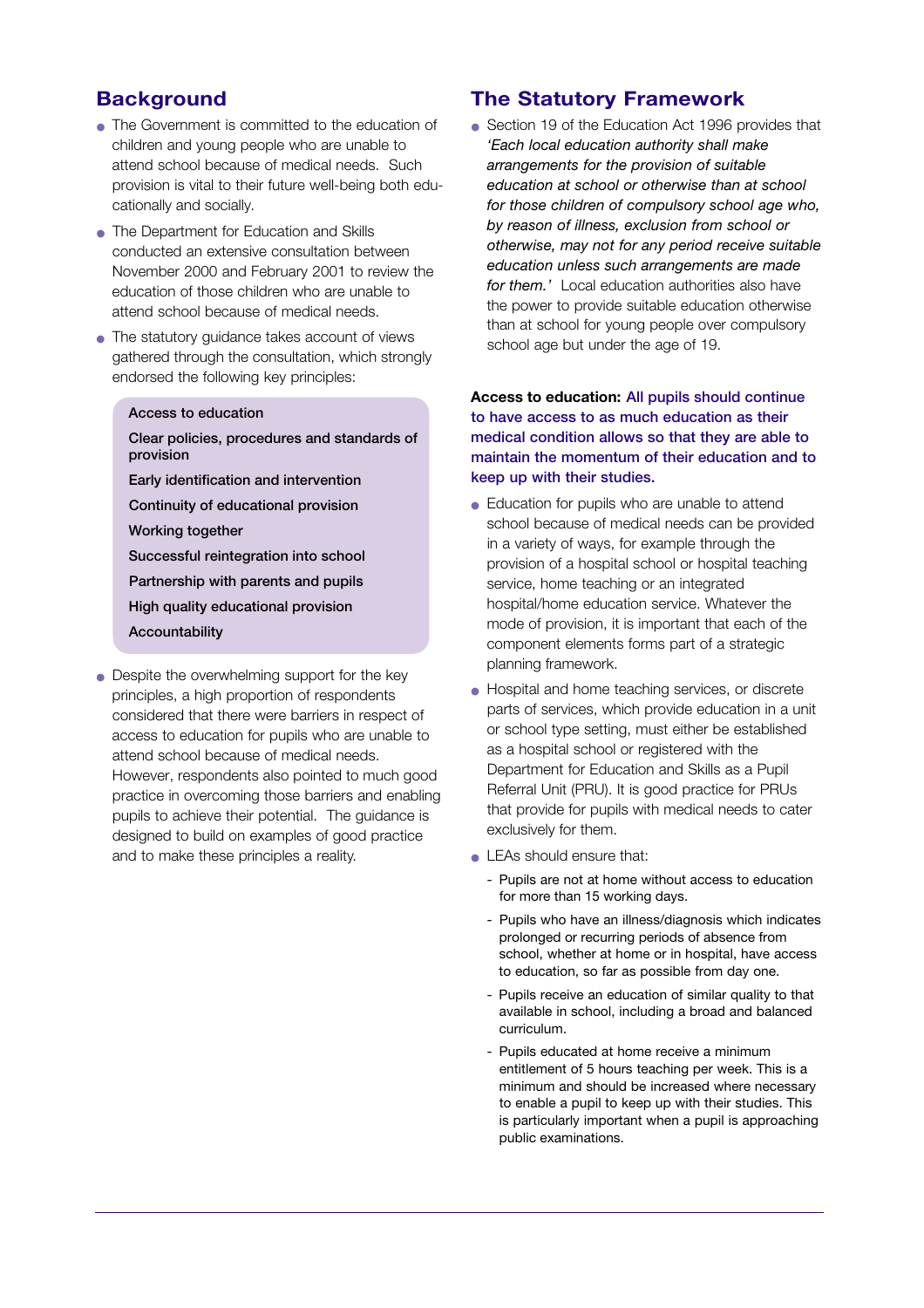# **Background**

- The Government is committed to the education of children and young people who are unable to attend school because of medical needs. Such provision is vital to their future well-being both educationally and socially.
- The Department for Education and Skills conducted an extensive consultation between November 2000 and February 2001 to review the education of those children who are unable to attend school because of medical needs.
- The statutory quidance takes account of views gathered through the consultation, which strongly endorsed the following key principles:
	- Access to education
	- Clear policies, procedures and standards of provision
	- Early identification and intervention
	- Continuity of educational provision
	- Working together
	- Successful reintegration into school
	- Partnership with parents and pupils
	- High quality educational provision
	- Accountability
- Despite the overwhelming support for the key principles, a high proportion of respondents considered that there were barriers in respect of access to education for pupils who are unable to attend school because of medical needs. However, respondents also pointed to much good practice in overcoming those barriers and enabling pupils to achieve their potential. The guidance is designed to build on examples of good practice and to make these principles a reality.

## **The Statutory Framework**

● Section 19 of the Education Act 1996 provides that *'Each local education authority shall make arrangements for the provision of suitable education at school or otherwise than at school for those children of compulsory school age who, by reason of illness, exclusion from school or otherwise, may not for any period receive suitable education unless such arrangements are made for them.'* Local education authorities also have the power to provide suitable education otherwise than at school for young people over compulsory school age but under the age of 19.

#### **Access to education:** All pupils should continue to have access to as much education as their medical condition allows so that they are able to maintain the momentum of their education and to keep up with their studies.

- Education for pupils who are unable to attend school because of medical needs can be provided in a variety of ways, for example through the provision of a hospital school or hospital teaching service, home teaching or an integrated hospital/home education service. Whatever the mode of provision, it is important that each of the component elements forms part of a strategic planning framework.
- Hospital and home teaching services, or discrete parts of services, which provide education in a unit or school type setting, must either be established as a hospital school or registered with the Department for Education and Skills as a Pupil Referral Unit (PRU). It is good practice for PRUs that provide for pupils with medical needs to cater exclusively for them.
- LEAs should ensure that:
	- Pupils are not at home without access to education for more than 15 working days.
	- Pupils who have an illness/diagnosis which indicates prolonged or recurring periods of absence from school, whether at home or in hospital, have access to education, so far as possible from day one.
	- Pupils receive an education of similar quality to that available in school, including a broad and balanced curriculum.
	- Pupils educated at home receive a minimum entitlement of 5 hours teaching per week. This is a minimum and should be increased where necessary to enable a pupil to keep up with their studies. This is particularly important when a pupil is approaching public examinations.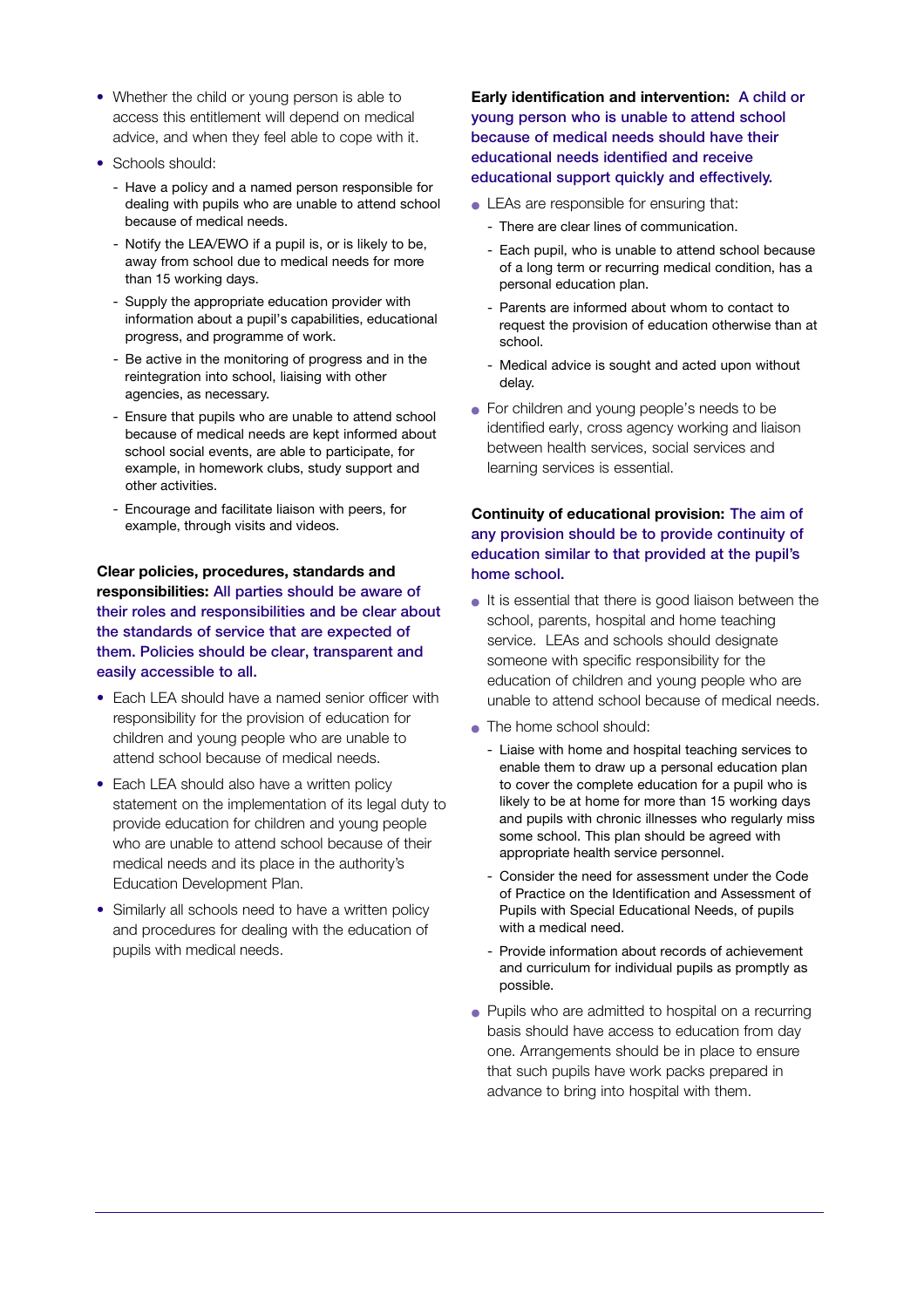- Whether the child or young person is able to access this entitlement will depend on medical advice, and when they feel able to cope with it.
- Schools should:
	- Have a policy and a named person responsible for dealing with pupils who are unable to attend school because of medical needs.
	- Notify the LEA/EWO if a pupil is, or is likely to be, away from school due to medical needs for more than 15 working days.
	- Supply the appropriate education provider with information about a pupil's capabilities, educational progress, and programme of work.
	- Be active in the monitoring of progress and in the reintegration into school, liaising with other agencies, as necessary.
	- Ensure that pupils who are unable to attend school because of medical needs are kept informed about school social events, are able to participate, for example, in homework clubs, study support and other activities.
	- Encourage and facilitate liaison with peers, for example, through visits and videos.

**Clear policies, procedures, standards and responsibilities:** All parties should be aware of their roles and responsibilities and be clear about the standards of service that are expected of them. Policies should be clear, transparent and easily accessible to all.

- Each LEA should have a named senior officer with responsibility for the provision of education for children and young people who are unable to attend school because of medical needs.
- Each LEA should also have a written policy statement on the implementation of its legal duty to provide education for children and young people who are unable to attend school because of their medical needs and its place in the authority's Education Development Plan.
- Similarly all schools need to have a written policy and procedures for dealing with the education of pupils with medical needs.

**Early identification and intervention:** A child or young person who is unable to attend school because of medical needs should have their educational needs identified and receive educational support quickly and effectively.

- LEAs are responsible for ensuring that:
	- There are clear lines of communication.
	- Each pupil, who is unable to attend school because of a long term or recurring medical condition, has a personal education plan.
	- Parents are informed about whom to contact to request the provision of education otherwise than at school.
	- Medical advice is sought and acted upon without delay.
- For children and young people's needs to be identified early, cross agency working and liaison between health services, social services and learning services is essential.

#### **Continuity of educational provision:** The aim of any provision should be to provide continuity of education similar to that provided at the pupil's home school.

- It is essential that there is good liaison between the school, parents, hospital and home teaching service. LEAs and schools should designate someone with specific responsibility for the education of children and young people who are unable to attend school because of medical needs.
- The home school should:
	- Liaise with home and hospital teaching services to enable them to draw up a personal education plan to cover the complete education for a pupil who is likely to be at home for more than 15 working days and pupils with chronic illnesses who regularly miss some school. This plan should be agreed with appropriate health service personnel.
	- Consider the need for assessment under the Code of Practice on the Identification and Assessment of Pupils with Special Educational Needs, of pupils with a medical need.
	- Provide information about records of achievement and curriculum for individual pupils as promptly as possible.
- Pupils who are admitted to hospital on a recurring basis should have access to education from day one. Arrangements should be in place to ensure that such pupils have work packs prepared in advance to bring into hospital with them.